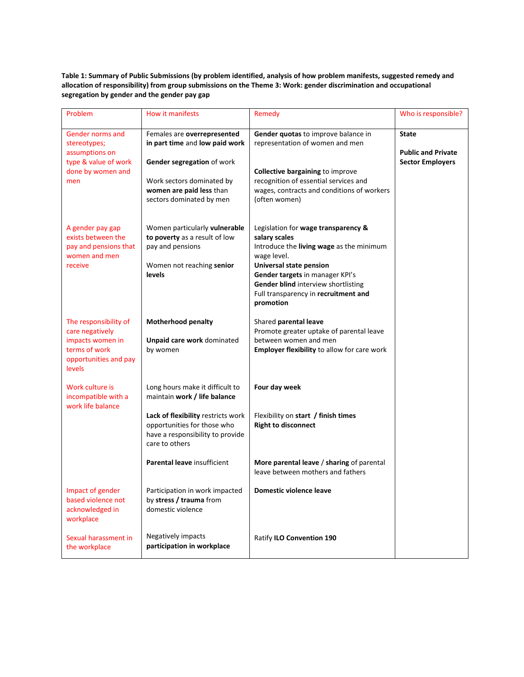**Table 1: Summary of Public Submissions (by problem identified, analysis of how problem manifests, suggested remedy and allocation of responsibility) from group submissions on the Theme 3: Work: gender discrimination and occupational segregation by gender and the gender pay gap**

| Problem                                                                                                          | How it manifests                                                                                                                                                                 | Remedy                                                                                                                                                                                                                                                                           | Who is responsible?                                                  |
|------------------------------------------------------------------------------------------------------------------|----------------------------------------------------------------------------------------------------------------------------------------------------------------------------------|----------------------------------------------------------------------------------------------------------------------------------------------------------------------------------------------------------------------------------------------------------------------------------|----------------------------------------------------------------------|
| Gender norms and<br>stereotypes;<br>assumptions on<br>type & value of work<br>done by women and<br>men           | Females are overrepresented<br>in part time and low paid work<br>Gender segregation of work<br>Work sectors dominated by<br>women are paid less than<br>sectors dominated by men | Gender quotas to improve balance in<br>representation of women and men<br><b>Collective bargaining to improve</b><br>recognition of essential services and<br>wages, contracts and conditions of workers<br>(often women)                                                        | <b>State</b><br><b>Public and Private</b><br><b>Sector Employers</b> |
| A gender pay gap<br>exists between the<br>pay and pensions that<br>women and men<br>receive                      | Women particularly vulnerable<br>to poverty as a result of low<br>pay and pensions<br>Women not reaching senior<br>levels                                                        | Legislation for wage transparency &<br>salary scales<br>Introduce the living wage as the minimum<br>wage level.<br><b>Universal state pension</b><br>Gender targets in manager KPI's<br>Gender blind interview shortlisting<br>Full transparency in recruitment and<br>promotion |                                                                      |
| The responsibility of<br>care negatively<br>impacts women in<br>terms of work<br>opportunities and pay<br>levels | Motherhood penalty<br>Unpaid care work dominated<br>by women                                                                                                                     | Shared parental leave<br>Promote greater uptake of parental leave<br>between women and men<br><b>Employer flexibility to allow for care work</b>                                                                                                                                 |                                                                      |
| Work culture is<br>incompatible with a                                                                           | Long hours make it difficult to<br>maintain work / life balance                                                                                                                  | Four day week                                                                                                                                                                                                                                                                    |                                                                      |
| work life balance                                                                                                | Lack of flexibility restricts work<br>opportunities for those who<br>have a responsibility to provide<br>care to others                                                          | Flexibility on start / finish times<br><b>Right to disconnect</b>                                                                                                                                                                                                                |                                                                      |
|                                                                                                                  | Parental leave insufficient                                                                                                                                                      | More parental leave / sharing of parental<br>leave between mothers and fathers                                                                                                                                                                                                   |                                                                      |
| Impact of gender<br>based violence not<br>acknowledged in<br>workplace                                           | Participation in work impacted<br>by stress / trauma from<br>domestic violence                                                                                                   | Domestic violence leave                                                                                                                                                                                                                                                          |                                                                      |
| Sexual harassment in<br>the workplace                                                                            | Negatively impacts<br>participation in workplace                                                                                                                                 | Ratify ILO Convention 190                                                                                                                                                                                                                                                        |                                                                      |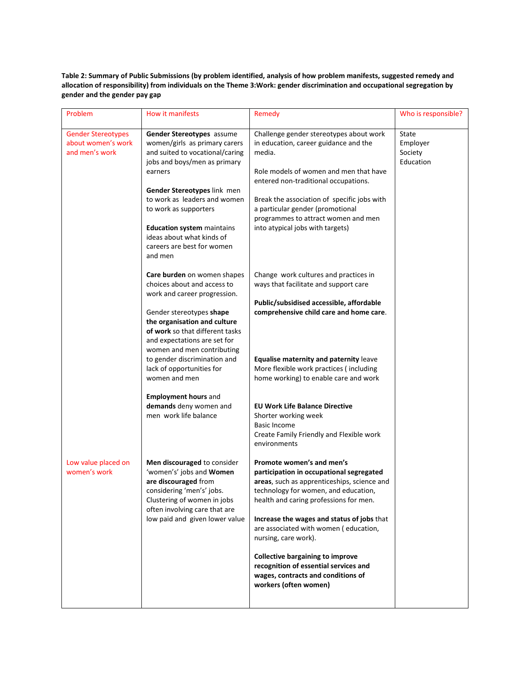**Table 2: Summary of Public Submissions (by problem identified, analysis of how problem manifests, suggested remedy and allocation of responsibility) from individuals on the Theme 3:Work: gender discrimination and occupational segregation by gender and the gender pay gap**

| Problem                                                           | How it manifests                                                                                                                                                                                                                           | Remedy                                                                                                                                                                                                                                                                                       | Who is responsible?                       |
|-------------------------------------------------------------------|--------------------------------------------------------------------------------------------------------------------------------------------------------------------------------------------------------------------------------------------|----------------------------------------------------------------------------------------------------------------------------------------------------------------------------------------------------------------------------------------------------------------------------------------------|-------------------------------------------|
| <b>Gender Stereotypes</b><br>about women's work<br>and men's work | Gender Stereotypes assume<br>women/girls as primary carers<br>and suited to vocational/caring<br>media.<br>jobs and boys/men as primary<br>earners<br>Gender Stereotypes link men<br>to work as leaders and women<br>to work as supporters | Challenge gender stereotypes about work<br>in education, career guidance and the<br>Role models of women and men that have<br>entered non-traditional occupations.<br>Break the association of specific jobs with<br>a particular gender (promotional<br>programmes to attract women and men | State<br>Employer<br>Society<br>Education |
|                                                                   | <b>Education system maintains</b><br>ideas about what kinds of<br>careers are best for women<br>and men                                                                                                                                    | into atypical jobs with targets)                                                                                                                                                                                                                                                             |                                           |
|                                                                   | Care burden on women shapes<br>choices about and access to<br>work and career progression.                                                                                                                                                 | Change work cultures and practices in<br>ways that facilitate and support care                                                                                                                                                                                                               |                                           |
|                                                                   | Gender stereotypes shape<br>the organisation and culture<br>of work so that different tasks<br>and expectations are set for<br>women and men contributing                                                                                  | Public/subsidised accessible, affordable<br>comprehensive child care and home care.                                                                                                                                                                                                          |                                           |
|                                                                   | to gender discrimination and<br>lack of opportunities for<br>women and men                                                                                                                                                                 | Equalise maternity and paternity leave<br>More flexible work practices (including<br>home working) to enable care and work                                                                                                                                                                   |                                           |
|                                                                   | <b>Employment hours and</b><br>demands deny women and<br>men work life balance                                                                                                                                                             | <b>EU Work Life Balance Directive</b><br>Shorter working week<br><b>Basic Income</b><br>Create Family Friendly and Flexible work<br>environments                                                                                                                                             |                                           |
| Low value placed on<br>women's work                               | Men discouraged to consider<br>'women's' jobs and Women<br>are discouraged from<br>considering 'men's' jobs.<br>Clustering of women in jobs<br>often involving care that are                                                               | Promote women's and men's<br>participation in occupational segregated<br>areas, such as apprenticeships, science and<br>technology for women, and education,<br>health and caring professions for men.                                                                                       |                                           |
|                                                                   | low paid and given lower value                                                                                                                                                                                                             | Increase the wages and status of jobs that<br>are associated with women (education,<br>nursing, care work).                                                                                                                                                                                  |                                           |
|                                                                   |                                                                                                                                                                                                                                            | <b>Collective bargaining to improve</b><br>recognition of essential services and<br>wages, contracts and conditions of<br>workers (often women)                                                                                                                                              |                                           |
|                                                                   |                                                                                                                                                                                                                                            |                                                                                                                                                                                                                                                                                              |                                           |